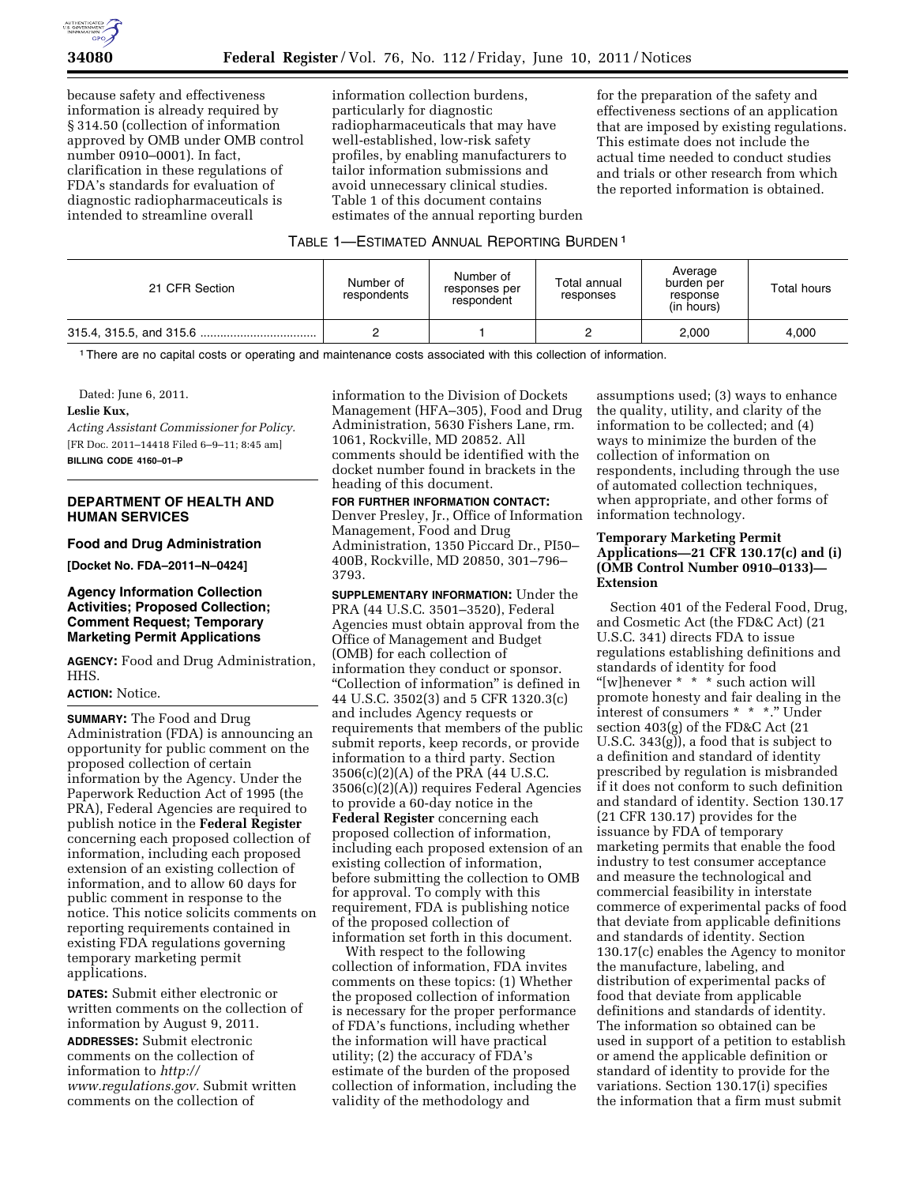

because safety and effectiveness information is already required by § 314.50 (collection of information approved by OMB under OMB control number 0910–0001). In fact, clarification in these regulations of FDA's standards for evaluation of diagnostic radiopharmaceuticals is intended to streamline overall

information collection burdens, particularly for diagnostic radiopharmaceuticals that may have well-established, low-risk safety profiles, by enabling manufacturers to tailor information submissions and avoid unnecessary clinical studies. Table 1 of this document contains estimates of the annual reporting burden for the preparation of the safety and effectiveness sections of an application that are imposed by existing regulations. This estimate does not include the actual time needed to conduct studies and trials or other research from which the reported information is obtained.

### TABLE 1—ESTIMATED ANNUAL REPORTING BURDEN 1

| 21 CFR Section | Number of<br>respondents | Number of<br>responses per<br>respondent | Total annual<br>responses | Average<br>burden per<br>response<br>(in hours) | Total hours |
|----------------|--------------------------|------------------------------------------|---------------------------|-------------------------------------------------|-------------|
|                |                          |                                          |                           | 2.000                                           | 4.000       |

1There are no capital costs or operating and maintenance costs associated with this collection of information.

Dated: June 6, 2011.

### **Leslie Kux,**

*Acting Assistant Commissioner for Policy.*  [FR Doc. 2011–14418 Filed 6–9–11; 8:45 am] **BILLING CODE 4160–01–P** 

## **DEPARTMENT OF HEALTH AND HUMAN SERVICES**

### **Food and Drug Administration**

**[Docket No. FDA–2011–N–0424]** 

# **Agency Information Collection Activities; Proposed Collection; Comment Request; Temporary Marketing Permit Applications**

**AGENCY:** Food and Drug Administration, HHS.

#### **ACTION:** Notice.

**SUMMARY:** The Food and Drug Administration (FDA) is announcing an opportunity for public comment on the proposed collection of certain information by the Agency. Under the Paperwork Reduction Act of 1995 (the PRA), Federal Agencies are required to publish notice in the **Federal Register**  concerning each proposed collection of information, including each proposed extension of an existing collection of information, and to allow 60 days for public comment in response to the notice. This notice solicits comments on reporting requirements contained in existing FDA regulations governing temporary marketing permit applications.

**DATES:** Submit either electronic or written comments on the collection of information by August 9, 2011.

**ADDRESSES:** Submit electronic comments on the collection of information to *[http://](http://www.regulations.gov) [www.regulations.gov.](http://www.regulations.gov)* Submit written comments on the collection of

information to the Division of Dockets Management (HFA–305), Food and Drug Administration, 5630 Fishers Lane, rm. 1061, Rockville, MD 20852. All comments should be identified with the docket number found in brackets in the heading of this document.

# **FOR FURTHER INFORMATION CONTACT:**

Denver Presley, Jr., Office of Information Management, Food and Drug Administration, 1350 Piccard Dr., PI50– 400B, Rockville, MD 20850, 301–796– 3793.

**SUPPLEMENTARY INFORMATION:** Under the PRA (44 U.S.C. 3501–3520), Federal Agencies must obtain approval from the Office of Management and Budget (OMB) for each collection of information they conduct or sponsor. ''Collection of information'' is defined in 44 U.S.C. 3502(3) and 5 CFR 1320.3(c) and includes Agency requests or requirements that members of the public submit reports, keep records, or provide information to a third party. Section 3506(c)(2)(A) of the PRA (44 U.S.C. 3506(c)(2)(A)) requires Federal Agencies to provide a 60-day notice in the **Federal Register** concerning each proposed collection of information, including each proposed extension of an existing collection of information, before submitting the collection to OMB for approval. To comply with this requirement, FDA is publishing notice of the proposed collection of information set forth in this document.

With respect to the following collection of information, FDA invites comments on these topics: (1) Whether the proposed collection of information is necessary for the proper performance of FDA's functions, including whether the information will have practical utility; (2) the accuracy of FDA's estimate of the burden of the proposed collection of information, including the validity of the methodology and

assumptions used; (3) ways to enhance the quality, utility, and clarity of the information to be collected; and (4) ways to minimize the burden of the collection of information on respondents, including through the use of automated collection techniques, when appropriate, and other forms of information technology.

## **Temporary Marketing Permit Applications—21 CFR 130.17(c) and (i) (OMB Control Number 0910–0133)— Extension**

Section 401 of the Federal Food, Drug, and Cosmetic Act (the FD&C Act) (21 U.S.C. 341) directs FDA to issue regulations establishing definitions and standards of identity for food "[w]henever \* \* \* such action will promote honesty and fair dealing in the interest of consumers \* \* \*.'' Under section 403(g) of the FD&C Act (21 U.S.C. 343(g)), a food that is subject to a definition and standard of identity prescribed by regulation is misbranded if it does not conform to such definition and standard of identity. Section 130.17 (21 CFR 130.17) provides for the issuance by FDA of temporary marketing permits that enable the food industry to test consumer acceptance and measure the technological and commercial feasibility in interstate commerce of experimental packs of food that deviate from applicable definitions and standards of identity. Section 130.17(c) enables the Agency to monitor the manufacture, labeling, and distribution of experimental packs of food that deviate from applicable definitions and standards of identity. The information so obtained can be used in support of a petition to establish or amend the applicable definition or standard of identity to provide for the variations. Section 130.17(i) specifies the information that a firm must submit